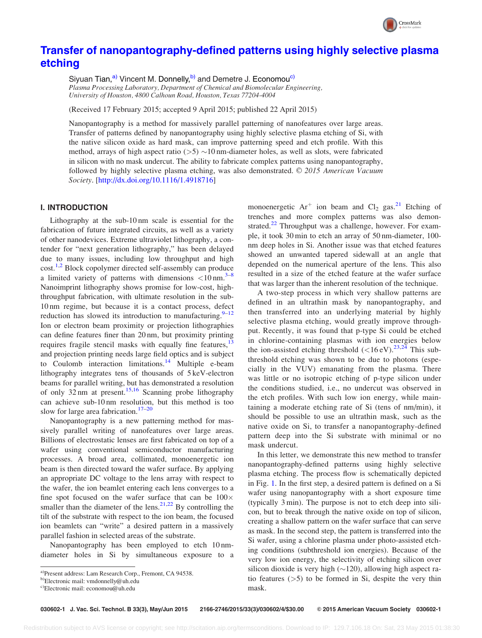

# [Transfer of nanopantography-defined patterns using highly selective plasma](http://dx.doi.org/10.1116/1.4918716) [etching](http://dx.doi.org/10.1116/1.4918716)

Siyuan Tian,<sup>a)</sup> Vincent M. Donnelly,<sup>b)</sup> and Demetre J. Economou<sup>c)</sup>

Plasma Processing Laboratory, Department of Chemical and Biomolecular Engineering, University of Houston, 4800 Calhoun Road, Houston, Texas 77204-4004

(Received 17 February 2015; accepted 9 April 2015; published 22 April 2015)

Nanopantography is a method for massively parallel patterning of nanofeatures over large areas. Transfer of patterns defined by nanopantography using highly selective plasma etching of Si, with the native silicon oxide as hard mask, can improve patterning speed and etch profile. With this method, arrays of high aspect ratio  $(5)$  ~10 nm-diameter holes, as well as slots, were fabricated in silicon with no mask undercut. The ability to fabricate complex patterns using nanopantography, followed by highly selective plasma etching, was also demonstrated.  $\odot$  2015 American Vacuum Society. [[http://dx.doi.org/10.1116/1.4918716\]](http://dx.doi.org/10.1116/1.4918716)

## I. INTRODUCTION

Lithography at the sub-10 nm scale is essential for the fabrication of future integrated circuits, as well as a variety of other nanodevices. Extreme ultraviolet lithography, a contender for "next generation lithography," has been delayed due to many issues, including low throughput and high cost.<sup>[1,2](#page-3-0)</sup> Block copolymer directed self-assembly can produce a limited variety of patterns with dimensions  $\langle 10 \text{ nm.}^{3-8} \rangle$ Nanoimprint lithography shows promise for low-cost, highthroughput fabrication, with ultimate resolution in the sub-10 nm regime, but because it is a contact process, defect reduction has slowed its introduction to manufacturing. $9-12$ Ion or electron beam proximity or projection lithographies can define features finer than 20 nm, but proximity printing requires fragile stencil masks with equally fine features,  $13$ and projection printing needs large field optics and is subject to Coulomb interaction limitations.<sup>[14](#page-3-0)</sup> Multiple e-beam lithography integrates tens of thousands of 5 keV-electron beams for parallel writing, but has demonstrated a resolution of only  $32 \text{ nm}$  at present.<sup>[15,16](#page-3-0)</sup> Scanning probe lithography can achieve sub-10 nm resolution, but this method is too slow for large area fabrication. $17-20$ 

Nanopantography is a new patterning method for massively parallel writing of nanofeatures over large areas. Billions of electrostatic lenses are first fabricated on top of a wafer using conventional semiconductor manufacturing processes. A broad area, collimated, monoenergetic ion beam is then directed toward the wafer surface. By applying an appropriate DC voltage to the lens array with respect to the wafer, the ion beamlet entering each lens converges to a fine spot focused on the wafer surface that can be  $100 \times$ smaller than the diameter of the lens.<sup>[21,22](#page-3-0)</sup> By controlling the tilt of the substrate with respect to the ion beam, the focused ion beamlets can "write" a desired pattern in a massively parallel fashion in selected areas of the substrate.

Nanopantography has been employed to etch 10 nmdiameter holes in Si by simultaneous exposure to a monoenergetic  $Ar^+$  ion beam and  $Cl_2$  gas.<sup>[21](#page-3-0)</sup> Etching of trenches and more complex patterns was also demon-strated.<sup>[22](#page-3-0)</sup> Throughput was a challenge, however. For example, it took 30 min to etch an array of 50 nm-diameter, 100 nm deep holes in Si. Another issue was that etched features showed an unwanted tapered sidewall at an angle that depended on the numerical aperture of the lens. This also resulted in a size of the etched feature at the wafer surface that was larger than the inherent resolution of the technique.

A two-step process in which very shallow patterns are defined in an ultrathin mask by nanopantography, and then transferred into an underlying material by highly selective plasma etching, would greatly improve throughput. Recently, it was found that p-type Si could be etched in chlorine-containing plasmas with ion energies below the ion-assisted etching threshold  $(<16 \text{ eV})$ .<sup>[23,24](#page-3-0)</sup> This subthreshold etching was shown to be due to photons (especially in the VUV) emanating from the plasma. There was little or no isotropic etching of p-type silicon under the conditions studied, i.e., no undercut was observed in the etch profiles. With such low ion energy, while maintaining a moderate etching rate of Si (tens of nm/min), it should be possible to use an ultrathin mask, such as the native oxide on Si, to transfer a nanopantography-defined pattern deep into the Si substrate with minimal or no mask undercut.

In this letter, we demonstrate this new method to transfer nanopantography-defined patterns using highly selective plasma etching. The process flow is schematically depicted in Fig. [1](#page-1-0). In the first step, a desired pattern is defined on a Si wafer using nanopantography with a short exposure time (typically 3 min). The purpose is not to etch deep into silicon, but to break through the native oxide on top of silicon, creating a shallow pattern on the wafer surface that can serve as mask. In the second step, the pattern is transferred into the Si wafer, using a chlorine plasma under photo-assisted etching conditions (subthreshold ion energies). Because of the very low ion energy, the selectivity of etching silicon over silicon dioxide is very high  $(\sim 120)$ , allowing high aspect ratio features  $(5)$  to be formed in Si, despite the very thin mask.

a)Present address: Lam Research Corp., Fremont, CA 94538.

b)Electronic mail: [vmdonnelly@uh.edu](mailto:vmdonnelly@uh.edu)

c)Electronic mail: [economou@uh.edu](mailto:economou@uh.edu)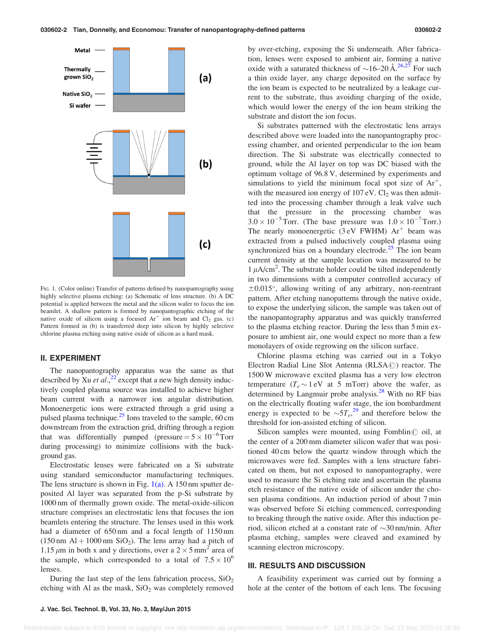<span id="page-1-0"></span>

FIG. 1. (Color online) Transfer of patterns defined by nanopantography using highly selective plasma etching: (a) Schematic of lens structure. (b) A DC potential is applied between the metal and the silicon wafer to focus the ion beamlet. A shallow pattern is formed by nanopantographic etching of the native oxide of silicon using a focused  $Ar^+$  ion beam and  $Cl_2$  gas. (c) Pattern formed in (b) is transferred deep into silicon by highly selective chlorine plasma etching using native oxide of silicon as a hard mask.

#### II. EXPERIMENT

The nanopantography apparatus was the same as that described by Xu *et al.*,  $^{22}$  except that a new high density inductively coupled plasma source was installed to achieve higher beam current with a narrower ion angular distribution. Monoenergetic ions were extracted through a grid using a pulsed plasma technique.<sup>25</sup> Ions traveled to the sample,  $60 \text{ cm}$ downstream from the extraction grid, drifting through a region that was differentially pumped (pressure =  $5 \times 10^{-6}$  Torr during processing) to minimize collisions with the background gas.

Electrostatic lenses were fabricated on a Si substrate using standard semiconductor manufacturing techniques. The lens structure is shown in Fig.  $1(a)$ . A 150 nm sputter deposited Al layer was separated from the p-Si substrate by 1000 nm of thermally grown oxide. The metal-oxide-silicon structure comprises an electrostatic lens that focuses the ion beamlets entering the structure. The lenses used in this work had a diameter of 650 nm and a focal length of 1150 nm  $(150 \text{ nm } Al + 1000 \text{ nm } SiO<sub>2</sub>)$ . The lens array had a pitch of 1.15  $\mu$ m in both x and y directions, over a 2  $\times$  5 mm<sup>2</sup> area of the sample, which corresponded to a total of  $7.5 \times 10^6$ lenses.

During the last step of the lens fabrication process,  $SiO<sub>2</sub>$ etching with Al as the mask,  $SiO<sub>2</sub>$  was completely removed by over-etching, exposing the Si underneath. After fabrication, lenses were exposed to ambient air, forming a native oxide with a saturated thickness of  $\sim$ 16–20 Å.<sup>[26,27](#page-3-0)</sup> For such a thin oxide layer, any charge deposited on the surface by the ion beam is expected to be neutralized by a leakage current to the substrate, thus avoiding charging of the oxide, which would lower the energy of the ion beam striking the substrate and distort the ion focus.

Si substrates patterned with the electrostatic lens arrays described above were loaded into the nanopantography processing chamber, and oriented perpendicular to the ion beam direction. The Si substrate was electrically connected to ground, while the Al layer on top was DC biased with the optimum voltage of 96.8 V, determined by experiments and simulations to yield the minimum focal spot size of  $Ar^+$ , with the measured ion energy of  $107 \text{ eV}$ . Cl<sub>2</sub> was then admitted into the processing chamber through a leak valve such that the pressure in the processing chamber was  $3.0 \times 10^{-5}$  Torr. (The base pressure was  $1.0 \times 10^{-7}$  Torr.) The nearly monoenergetic  $(3 \text{ eV}$  FWHM)  $Ar^+$  beam was extracted from a pulsed inductively coupled plasma using synchronized bias on a boundary electrode. $25$  The ion beam current density at the sample location was measured to be  $1 \mu A/cm^2$ . The substrate holder could be tilted independently in two dimensions with a computer controlled accuracy of  $\pm 0.015^{\circ}$ , allowing writing of any arbitrary, non-reentrant pattern. After etching nanopatterns through the native oxide, to expose the underlying silicon, the sample was taken out of the nanopantography apparatus and was quickly transferred to the plasma etching reactor. During the less than 5 min exposure to ambient air, one would expect no more than a few monolayers of oxide regrowing on the silicon surface.

Chlorine plasma etching was carried out in a Tokyo Electron Radial Line Slot Antenna ( $RLSA$  $@$ ) reactor. The 1500 W microwave excited plasma has a very low electron temperature  $(T_e \sim 1 \text{ eV}$  at 5 mTorr) above the wafer, as determined by Langmuir probe analysis.<sup>[28](#page-3-0)</sup> With no RF bias on the electrically floating wafer stage, the ion bombardment energy is expected to be  $\sim 5T_e^{29}$  $\sim 5T_e^{29}$  $\sim 5T_e^{29}$  and therefore below the threshold for ion-assisted etching of silicon.

Silicon samples were mounted, using Fomblin $\odot$  oil, at the center of a 200 mm diameter silicon wafer that was positioned 40 cm below the quartz window through which the microwaves were fed. Samples with a lens structure fabricated on them, but not exposed to nanopantography, were used to measure the Si etching rate and ascertain the plasma etch resistance of the native oxide of silicon under the chosen plasma conditions. An induction period of about 7 min was observed before Si etching commenced, corresponding to breaking through the native oxide. After this induction period, silicon etched at a constant rate of  $\sim$ 30 nm/min. After plasma etching, samples were cleaved and examined by scanning electron microscopy.

#### III. RESULTS AND DISCUSSION

A feasibility experiment was carried out by forming a hole at the center of the bottom of each lens. The focusing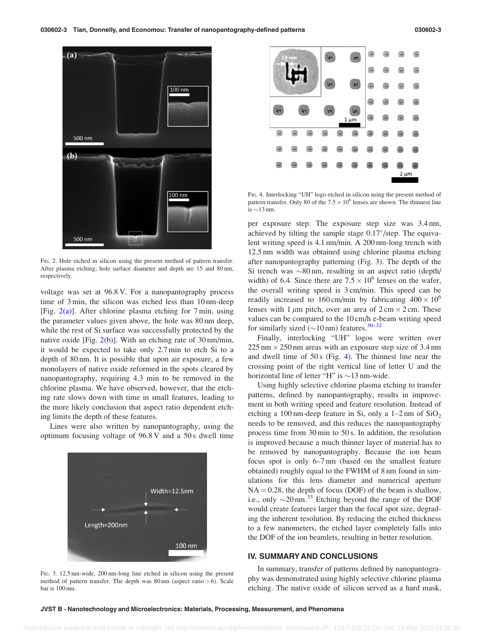

FIG. 2. Hole etched in silicon using the present method of pattern transfer. After plasma etching, hole surface diameter and depth are 15 and 80 nm, respectively.

voltage was set at 96.8 V. For a nanopantography process time of 3 min, the silicon was etched less than 10 nm-deep [Fig.  $2(a)$ ]. After chlorine plasma etching for 7 min, using the parameter values given above, the hole was 80 nm deep, while the rest of Si surface was successfully protected by the native oxide [Fig. 2(b)]. With an etching rate of 30 nm/min, it would be expected to take only 2.7 min to etch Si to a depth of 80 nm. It is possible that upon air exposure, a few monolayers of native oxide reformed in the spots cleared by nanopantography, requiring 4.3 min to be removed in the chlorine plasma. We have observed, however, that the etching rate slows down with time in small features, leading to the more likely conclusion that aspect ratio dependent etching limits the depth of these features.

Lines were also written by nanopantography, using the optimum focusing voltage of 96.8 V and a 50 s dwell time



FIG. 3. 12.5 nm-wide, 200 nm-long line etched in silicon using the present method of pattern transfer. The depth was  $80 \text{ nm}$  (aspect ratio  $> 6$ ). Scale bar is 100 nm.



FIG. 4. Interlocking "UH" logo etched in silicon using the present method of pattern transfer. Only 80 of the  $7.5 \times 10^6$  lenses are shown. The thinnest line is  $\sim$ 13 nm.

per exposure step. The exposure step size was 3.4 nm, achieved by tilting the sample stage  $0.17^{\circ}/\text{step}$ . The equivalent writing speed is 4.1 nm/min. A 200 nm-long trench with 12.5 nm width was obtained using chlorine plasma etching after nanopantography patterning (Fig. 3). The depth of the Si trench was  $\sim 80$  nm, resulting in an aspect ratio (depth/ width) of 6.4. Since there are  $7.5 \times 10^6$  lenses on the wafer, the overall writing speed is 3 cm/min. This speed can be readily increased to 160 cm/min by fabricating  $400 \times 10^6$ lenses with 1  $\mu$ m pitch, over an area of 2 cm  $\times$  2 cm. These values can be compared to the 10 cm/h e-beam writing speed for similarly sized  $(\sim 10 \text{ nm})$  features.<sup>[30–32](#page-3-0)</sup>

Finally, interlocking "UH" logos were written over  $225 \text{ nm} \times 250 \text{ nm}$  areas with an exposure step size of 3.4 nm and dwell time of 50 s (Fig. 4). The thinnest line near the crossing point of the right vertical line of letter U and the horizontal line of letter "H" is  $\sim$ 13 nm-wide.

Using highly selective chlorine plasma etching to transfer patterns, defined by nanopantography, results in improvement in both writing speed and feature resolution. Instead of etching a 100 nm-deep feature in Si, only a  $1-2$  nm of  $SiO<sub>2</sub>$ needs to be removed, and this reduces the nanopantography process time from 30 min to 50 s. In addition, the resolution is improved because a much thinner layer of material has to be removed by nanopantography. Because the ion beam focus spot is only 6–7 nm (based on the smallest feature obtained) roughly equal to the FWHM of 8 nm found in simulations for this lens diameter and numerical aperture  $NA = 0.28$ , the depth of focus (DOF) of the beam is shallow, i.e., only  $\sim$ 20 nm.<sup>33</sup> Etching beyond the range of the DOF would create features larger than the focal spot size, degrading the inherent resolution. By reducing the etched thickness to a few nanometers, the etched layer completely falls into the DOF of the ion beamlets, resulting in better resolution.

#### IV. SUMMARY AND CONCLUSIONS

In summary, transfer of patterns defined by nanopantography was demonstrated using highly selective chlorine plasma etching. The native oxide of silicon served as a hard mask,